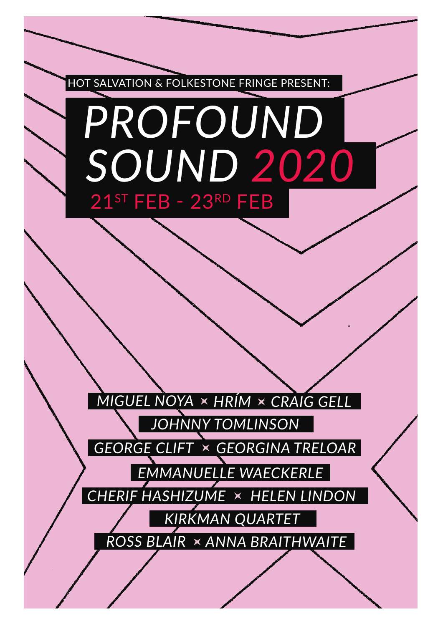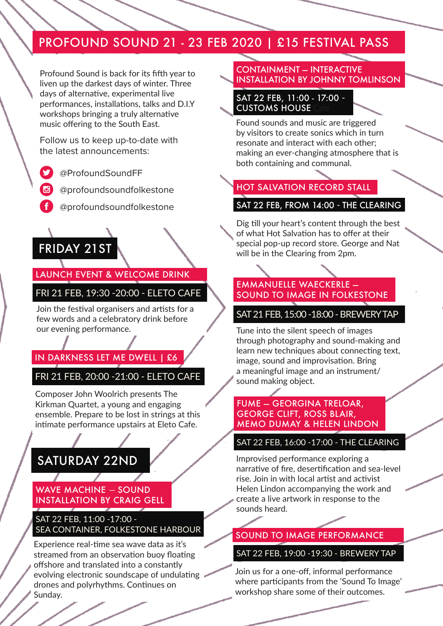# PROFOUND SOUND 21 - 23 FEB 2020 | £15 FESTIVAL PASS

Profound Sound is back for its fifth year to liven up the darkest days of winter. Three days of alternative, experimental live performances, installations, talks and D.I.Y workshops bringing a truly alternative music offering to the South East.

Follow us to keep up-to-date with the latest announcements:

- @ProfoundSoundFF
	-
- @profoundsoundfolkestone
- @profoundsoundfolkestone

# FRIDAY 21ST

#### LAUNCH EVENT & WELCOME DRINK

#### FRI 21 FEB, 19:30 -20:00 - ELETO CAFE

Join the festival organisers and artists for a few words and a celebratory drink before our evening performance.

#### IN DARKNESS LET ME DWELL | £6

#### FRI 21 FEB, 20:00 -21:00 - ELETO CAFE

Composer John Woolrich presents The Kirkman Quartet, a young and engaging ensemble. Prepare to be lost in strings at this intimate performance upstairs at Eleto Cafe.

## SATURDAY 22ND  $\sqrt{2}$

#### WAVE MACHINE — SOUND INSTALLATION BY CRAIG GELL

#### SAT 22 FEB, 11:00 -17:00 - SEA CONTAINER, FOLKESTONE HARBOUR

Experience real-time sea wave data as it's streamed from an observation buoy floating offshore and translated into a constantly evolving electronic soundscape of undulating drones and polyrhythms. Continues on Sunday.

#### CONTAINMENT — INTERACTIVE INSTALLATION BY JOHNNY TOMLINSON

#### SAT 22 FEB, 11:00 - 17:00 - **CUSTOMS HOUSE**

Found sounds and music are triggered by visitors to create sonics which in turn resonate and interact with each other; making an ever-changing atmosphere that is both containing and communal.

### HOT SALVATION RECORD STALL

#### SAT 22 FEB, FROM 14:00 - THE CLEARING

Dig till your heart's content through the best of what Hot Salvation has to offer at their special pop-up record store. George and Nat will be in the Clearing from 2pm.

#### EMMANUELLE WAECKERLE — SOUND TO IMAGE IN FOLKESTONE

#### SAT 21 FEB, 15:00 -18:00 - BREWERY TAP

Tune into the silent speech of images through photography and sound-making and learn new techniques about connecting text. image, sound and improvisation. Bring a meaningful image and an instrument/ sound making object.

#### FUME — GEORGINA TRELOAR, GEORGE CLIFT, ROSS BLAIR, MEMO DUMAY & HELEN LINDON

#### SAT 22 FEB, 16:00 -17:00 - THE CLEARING

Improvised performance exploring a narrative of fire, desertification and sea-level rise. Join in with local artist and activist Helen Lindon accompanying the work and create a live artwork in response to the sounds heard.

#### SOUND TO IMAGE PERFORMANCE

#### SAT 22 FEB, 19:00 -19:30 - BREWERY TAP

Join us for a one-off, informal performance where participants from the 'Sound To Image' workshop share some of their outcomes.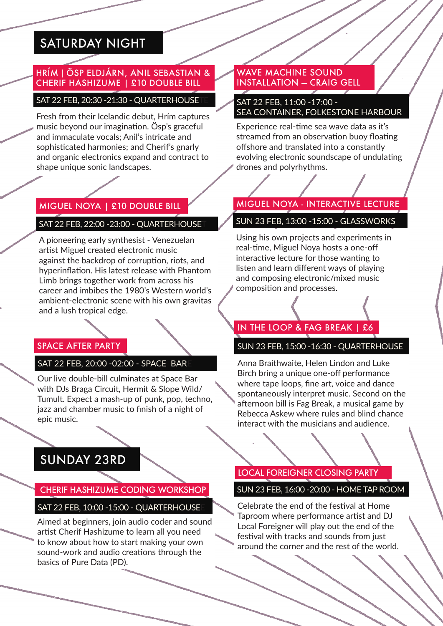# SATURDAY NIGHT

#### HRÍM | ÖSP ELDJÁRN, ANIL SEBASTIAN & CHERIF HASHIZUME | £10 DOUBLE BILL

#### SAT 22 FEB, 20:30 - 21:30 - QUARTERHOUSE

Fresh from their Icelandic debut, Hrím captures music beyond our imagination. Ösp's graceful and immaculate vocals; Anil's intricate and sophisticated harmonies; and Cherif's gnarly and organic electronics expand and contract to shape unique sonic landscapes.

#### MIGUEL NOYA | £10 DOUBLE BILL

#### SAT 22 FEB, 22:00 - 23:00 - QUARTERHOUSE

A pioneering early synthesist - Venezuelan artist Miguel created electronic music against the backdrop of corruption, riots, and hyperinflation. His latest release with Phantom Limb brings together work from across his career and imbibes the 1980's Western world's ambient-electronic scene with his own gravitas and a lush tropical edge.

#### SPACE AFTER PARTY

#### SAT 22 FEB, 20:00 -02:00 - SPACE BAR

Our live double-bill culminates at Space Bar with DJs Braga Circuit, Hermit & Slope Wild/ Tumult. Expect a mash-up of punk, pop, techno, jazz and chamber music to finish of a night of epic music.

# SUNDAY 23RD

#### CHERIF HASHIZUME CODING WORKSHOP SUN 23 FEB, 16:00 -20:00 - HOME TAP ROOM

#### SAT 22 FEB, 10:00 - 15:00 - QUARTERHOUSE

Aimed at beginners, join audio coder and sound artist Cherif Hashizume to learn all you need to know about how to start making your own sound-work and audio creations through the basics of Pure Data (PD).

#### WAVE MACHINE SOUND INSTALLATION — CRAIG GELL

#### SAT 22 FEB, 11:00 -17:00 - SEA CONTAINER, FOLKESTONE HARBOUR

Experience real-time sea wave data as it's streamed from an observation buoy floating offshore and translated into a constantly evolving electronic soundscape of undulating drones and polyrhythms.

## MIGUEL NOYA - INTERACTIVE LECTURE

#### SUN 23 FEB, 13:00 -15:00 - GLASSWORKS

Using his own projects and experiments in real-time, Miguel Noya hosts a one-off interactive lecture for those wanting to listen and learn different ways of playing and composing electronic/mixed music composition and processes.

#### IN THE LOOP & FAG BREAK | £6

#### SUN 23 FEB, 15:00 -16:30 - QUARTERHOUSE

Anna Braithwaite, Helen Lindon and Luke Birch bring a unique one-off performance where tape loops, fine art, voice and dance spontaneously interpret music. Second on the afternoon bill is Fag Break, a musical game by Rebecca Askew where rules and blind chance interact with the musicians and audience.

#### LOCAL FOREIGNER CLOSING PARTY

Celebrate the end of the festival at Home Taproom where performance artist and DJ Local Foreigner will play out the end of the festival with tracks and sounds from just around the corner and the rest of the world.